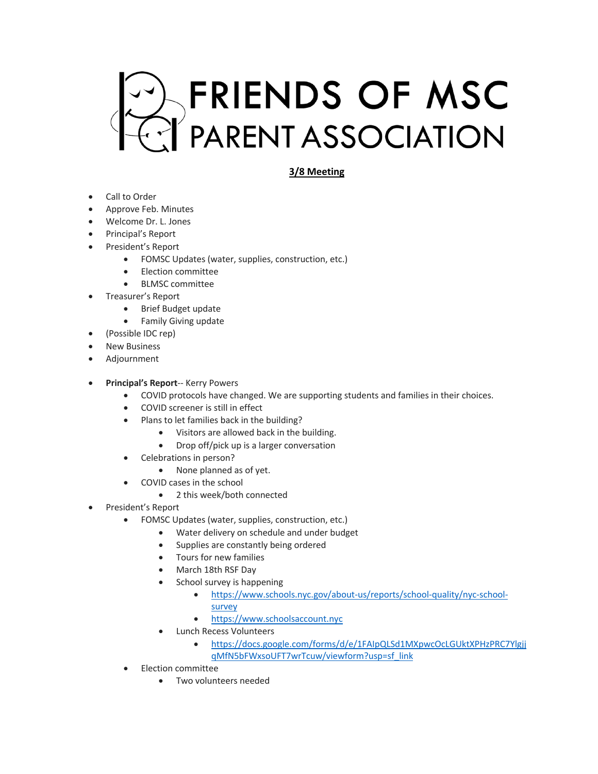

## **3/8 Meeting**

- Call to Order
- Approve Feb. Minutes
- Welcome Dr. L. Jones
- Principal's Report
- President's Report
	- FOMSC Updates (water, supplies, construction, etc.)
	- Election committee
	- BLMSC committee
- Treasurer's Report
	- Brief Budget update
	- Family Giving update
- (Possible IDC rep)
- **New Business**
- Adjournment
- **Principal's Report**-- Kerry Powers
	- COVID protocols have changed. We are supporting students and families in their choices.
	- COVID screener is still in effect
	- Plans to let families back in the building?
		- Visitors are allowed back in the building.
		- Drop off/pick up is a larger conversation
	- Celebrations in person?
		- None planned as of yet.
	- COVID cases in the school
		- 2 this week/both connected
- President's Report
	- FOMSC Updates (water, supplies, construction, etc.)
		- Water delivery on schedule and under budget
		- Supplies are constantly being ordered
		- Tours for new families
		- March 18th RSF Day
		- School survey is happening
			- https://www.schools.nyc.gov/about-us/reports/school-quality/nyc-schoolsurvey
			- https://www.schoolsaccount.nyc
		- Lunch Recess Volunteers
			- https://docs.google.com/forms/d/e/1FAIpQLSd1MXpwcOcLGUktXPHzPRC7Ylgjj qMfN5bFWxsoUFT7wrTcuw/viewform?usp=sf\_link
	- Election committee
		- Two volunteers needed